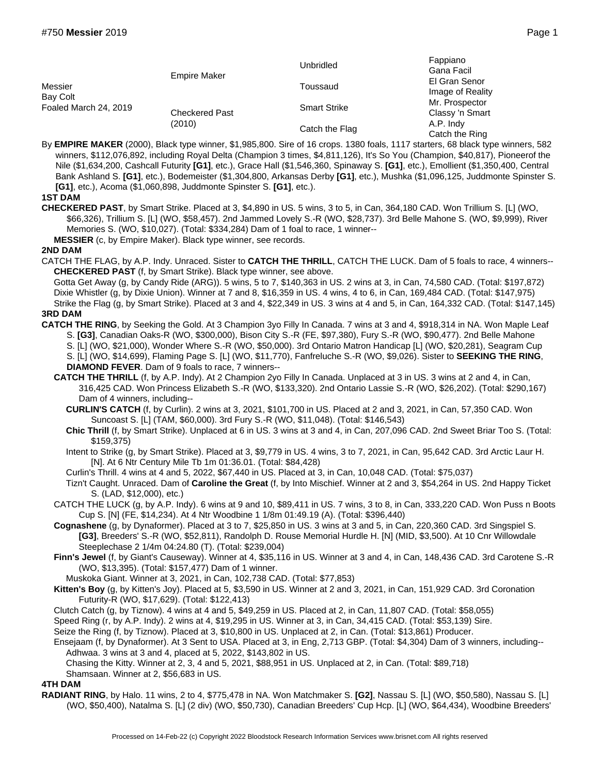| Messier<br>Bay Colt<br>Foaled March 24, 2019 | <b>Empire Maker</b><br><b>Checkered Past</b><br>(2010) | <b>Unbridled</b>    | Fappiano<br>Gana Facil            |
|----------------------------------------------|--------------------------------------------------------|---------------------|-----------------------------------|
|                                              |                                                        | Toussaud            | El Gran Senor<br>Image of Reality |
|                                              |                                                        | <b>Smart Strike</b> | Mr. Prospector<br>Classy 'n Smart |
|                                              |                                                        | Catch the Flag      | A.P. Indy<br>Catch the Ring       |

By **EMPIRE MAKER** (2000), Black type winner, \$1,985,800. Sire of 16 crops. 1380 foals, 1117 starters, 68 black type winners, 582 winners, \$112,076,892, including Royal Delta (Champion 3 times, \$4,811,126), It's So You (Champion, \$40,817), Pioneerof the Nile (\$1,634,200, Cashcall Futurity **[G1]**, etc.), Grace Hall (\$1,546,360, Spinaway S. **[G1]**, etc.), Emollient (\$1,350,400, Central Bank Ashland S. **[G1]**, etc.), Bodemeister (\$1,304,800, Arkansas Derby **[G1]**, etc.), Mushka (\$1,096,125, Juddmonte Spinster S. **[G1]**, etc.), Acoma (\$1,060,898, Juddmonte Spinster S. **[G1]**, etc.).

## **1ST DAM**

- **CHECKERED PAST**, by Smart Strike. Placed at 3, \$4,890 in US. 5 wins, 3 to 5, in Can, 364,180 CAD. Won Trillium S. [L] (WO, \$66,326), Trillium S. [L] (WO, \$58,457). 2nd Jammed Lovely S.-R (WO, \$28,737). 3rd Belle Mahone S. (WO, \$9,999), River Memories S. (WO, \$10,027). (Total: \$334,284) Dam of 1 foal to race, 1 winner--
	- **MESSIER** (c, by Empire Maker). Black type winner, see records.

## **2ND DAM**

CATCH THE FLAG, by A.P. Indy. Unraced. Sister to **CATCH THE THRILL**, CATCH THE LUCK. Dam of 5 foals to race, 4 winners-- **CHECKERED PAST** (f, by Smart Strike). Black type winner, see above.

Gotta Get Away (g, by Candy Ride (ARG)). 5 wins, 5 to 7, \$140,363 in US. 2 wins at 3, in Can, 74,580 CAD. (Total: \$197,872) Dixie Whistler (g, by Dixie Union). Winner at 7 and 8, \$16,359 in US. 4 wins, 4 to 6, in Can, 169,484 CAD. (Total: \$147,975) Strike the Flag (g, by Smart Strike). Placed at 3 and 4, \$22,349 in US. 3 wins at 4 and 5, in Can, 164,332 CAD. (Total: \$147,145) **3RD DAM**

- **CATCH THE RING**, by Seeking the Gold. At 3 Champion 3yo Filly In Canada. 7 wins at 3 and 4, \$918,314 in NA. Won Maple Leaf S. **[G3]**, Canadian Oaks-R (WO, \$300,000), Bison City S.-R (FE, \$97,380), Fury S.-R (WO, \$90,477). 2nd Belle Mahone S. [L] (WO, \$21,000), Wonder Where S.-R (WO, \$50,000). 3rd Ontario Matron Handicap [L] (WO, \$20,281), Seagram Cup S. [L] (WO, \$14,699), Flaming Page S. [L] (WO, \$11,770), Fanfreluche S.-R (WO, \$9,026). Sister to **SEEKING THE RING**, **DIAMOND FEVER**. Dam of 9 foals to race, 7 winners--
	- **CATCH THE THRILL** (f, by A.P. Indy). At 2 Champion 2yo Filly In Canada. Unplaced at 3 in US. 3 wins at 2 and 4, in Can, 316,425 CAD. Won Princess Elizabeth S.-R (WO, \$133,320). 2nd Ontario Lassie S.-R (WO, \$26,202). (Total: \$290,167) Dam of 4 winners, including--
		- **CURLIN'S CATCH** (f, by Curlin). 2 wins at 3, 2021, \$101,700 in US. Placed at 2 and 3, 2021, in Can, 57,350 CAD. Won Suncoast S. [L] (TAM, \$60,000). 3rd Fury S.-R (WO, \$11,048). (Total: \$146,543)
		- **Chic Thrill** (f, by Smart Strike). Unplaced at 6 in US. 3 wins at 3 and 4, in Can, 207,096 CAD. 2nd Sweet Briar Too S. (Total: \$159,375)
		- Intent to Strike (g, by Smart Strike). Placed at 3, \$9,779 in US. 4 wins, 3 to 7, 2021, in Can, 95,642 CAD. 3rd Arctic Laur H. [N]. At 6 Ntr Century Mile Tb 1m 01:36.01. (Total: \$84,428)
		- Curlin's Thrill. 4 wins at 4 and 5, 2022, \$67,440 in US. Placed at 3, in Can, 10,048 CAD. (Total: \$75,037)
		- Tizn't Caught. Unraced. Dam of **Caroline the Great** (f, by Into Mischief. Winner at 2 and 3, \$54,264 in US. 2nd Happy Ticket S. (LAD, \$12,000), etc.)

CATCH THE LUCK (g, by A.P. Indy). 6 wins at 9 and 10, \$89,411 in US. 7 wins, 3 to 8, in Can, 333,220 CAD. Won Puss n Boots Cup S. [N] (FE, \$14,234). At 4 Ntr Woodbine 1 1/8m 01:49.19 (A). (Total: \$396,440)

- **Cognashene** (g, by Dynaformer). Placed at 3 to 7, \$25,850 in US. 3 wins at 3 and 5, in Can, 220,360 CAD. 3rd Singspiel S. **[G3]**, Breeders' S.-R (WO, \$52,811), Randolph D. Rouse Memorial Hurdle H. [N] (MID, \$3,500). At 10 Cnr Willowdale Steeplechase 2 1/4m 04:24.80 (T). (Total: \$239,004)
- **Finn's Jewel** (f, by Giant's Causeway). Winner at 4, \$35,116 in US. Winner at 3 and 4, in Can, 148,436 CAD. 3rd Carotene S.-R (WO, \$13,395). (Total: \$157,477) Dam of 1 winner.
- Muskoka Giant. Winner at 3, 2021, in Can, 102,738 CAD. (Total: \$77,853)
- **Kitten's Boy** (g, by Kitten's Joy). Placed at 5, \$3,590 in US. Winner at 2 and 3, 2021, in Can, 151,929 CAD. 3rd Coronation Futurity-R (WO, \$17,629). (Total: \$122,413)

Clutch Catch (g, by Tiznow). 4 wins at 4 and 5, \$49,259 in US. Placed at 2, in Can, 11,807 CAD. (Total: \$58,055)

- Speed Ring (r, by A.P. Indy). 2 wins at 4, \$19,295 in US. Winner at 3, in Can, 34,415 CAD. (Total: \$53,139) Sire.
- Seize the Ring (f, by Tiznow). Placed at 3, \$10,800 in US. Unplaced at 2, in Can. (Total: \$13,861) Producer.
- Ensejaam (f, by Dynaformer). At 3 Sent to USA. Placed at 3, in Eng, 2,713 GBP. (Total: \$4,304) Dam of 3 winners, including-- Adhwaa. 3 wins at 3 and 4, placed at 5, 2022, \$143,802 in US.

Chasing the Kitty. Winner at 2, 3, 4 and 5, 2021, \$88,951 in US. Unplaced at 2, in Can. (Total: \$89,718)

Shamsaan. Winner at 2, \$56,683 in US.

## **4TH DAM**

**RADIANT RING**, by Halo. 11 wins, 2 to 4, \$775,478 in NA. Won Matchmaker S. **[G2]**, Nassau S. [L] (WO, \$50,580), Nassau S. [L] (WO, \$50,400), Natalma S. [L] (2 div) (WO, \$50,730), Canadian Breeders' Cup Hcp. [L] (WO, \$64,434), Woodbine Breeders'